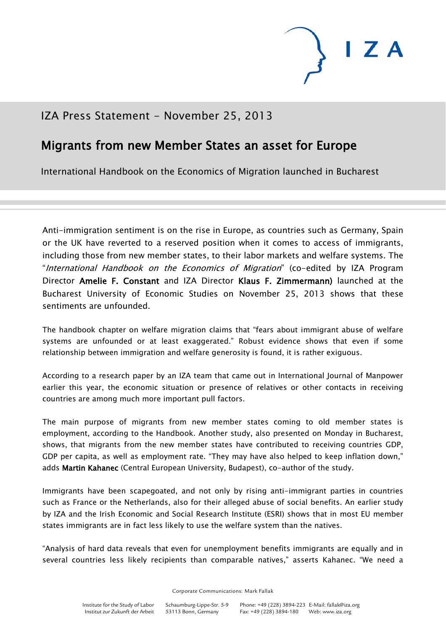

## IZA Press Statement - November 25, 2013

## Migrants from new Member States an asset for Europe

International Handbook on the Economics of Migration launched in Bucharest

Anti-immigration sentiment is on the rise in Europe, as countries such as Germany, Spain or the UK have reverted to a reserved position when it comes to access of immigrants, including those from new member states, to their labor markets and welfare systems. The "International Handbook on the Economics of Migration" (co-edited by IZA Program Director Amelie F. Constant and IZA Director Klaus F. Zimmermann) launched at the Bucharest University of Economic Studies on November 25, 2013 shows that these sentiments are unfounded.

The handbook chapter on welfare migration claims that "fears about immigrant abuse of welfare systems are unfounded or at least exaggerated." Robust evidence shows that even if some relationship between immigration and welfare generosity is found, it is rather exiguous.

According to a research paper by an IZA team that came out in International Journal of Manpower earlier this year, the economic situation or presence of relatives or other contacts in receiving countries are among much more important pull factors.

The main purpose of migrants from new member states coming to old member states is employment, according to the Handbook. Another study, also presented on Monday in Bucharest, shows, that migrants from the new member states have contributed to receiving countries GDP, GDP per capita, as well as employment rate. "They may have also helped to keep inflation down," adds Martin Kahanec (Central European University, Budapest), co-author of the study.

Immigrants have been scapegoated, and not only by rising anti-immigrant parties in countries such as France or the Netherlands, also for their alleged abuse of social benefits. An earlier study by IZA and the Irish Economic and Social Research Institute (ESRI) shows that in most EU member states immigrants are in fact less likely to use the welfare system than the natives.

"Analysis of hard data reveals that even for unemployment benefits immigrants are equally and in several countries less likely recipients than comparable natives," asserts Kahanec. "We need a

Corporate Communications: Mark Fallak